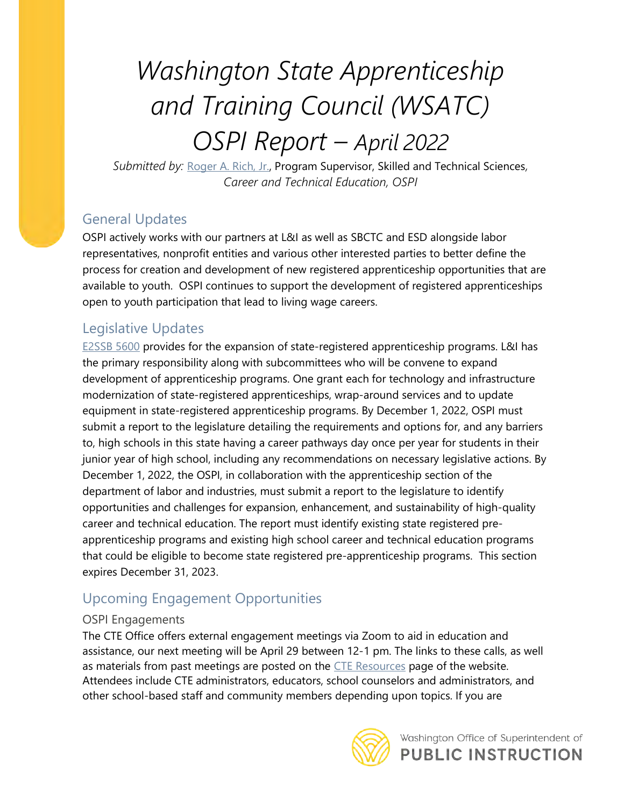# Washington State Apprenticeship and Training Council (WSATC) OSPI Report – April 2022

Submitted by: Roger A. Rich, Jr., Program Supervisor, Skilled and Technical Sciences, Career and Technical Education, OSPI

## General Updates

OSPI actively works with our partners at L&I as well as SBCTC and ESD alongside labor representatives, nonprofit entities and various other interested parties to better define the process for creation and development of new registered apprenticeship opportunities that are available to youth. OSPI continues to support the development of registered apprenticeships open to youth participation that lead to living wage careers.

## Legislative Updates

E2SSB 5600 provides for the expansion of state-registered apprenticeship programs. L&I has the primary responsibility along with subcommittees who will be convene to expand development of apprenticeship programs. One grant each for technology and infrastructure modernization of state-registered apprenticeships, wrap-around services and to update equipment in state-registered apprenticeship programs. By December 1, 2022, OSPI must submit a report to the legislature detailing the requirements and options for, and any barriers to, high schools in this state having a career pathways day once per year for students in their junior year of high school, including any recommendations on necessary legislative actions. By December 1, 2022, the OSPI, in collaboration with the apprenticeship section of the department of labor and industries, must submit a report to the legislature to identify opportunities and challenges for expansion, enhancement, and sustainability of high-quality career and technical education. The report must identify existing state registered preapprenticeship programs and existing high school career and technical education programs that could be eligible to become state registered pre-apprenticeship programs. This section expires December 31, 2023.

# Upcoming Engagement Opportunities

### OSPI Engagements

The CTE Office offers external engagement meetings via Zoom to aid in education and assistance, our next meeting will be April 29 between 12-1 pm. The links to these calls, as well as materials from past meetings are posted on the CTE Resources page of the website. Attendees include CTE administrators, educators, school counselors and administrators, and other school-based staff and community members depending upon topics. If you are



Washington Office of Superintendent of **PUBLIC INSTRUCTION**